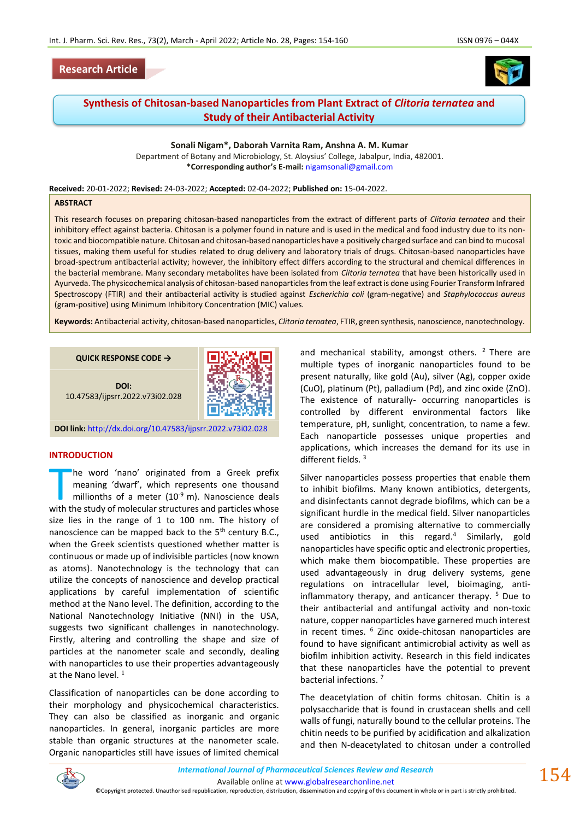## **Research Article**





# **Synthesis of Chitosan-based Nanoparticles from Plant Extract of** *Clitoria ternatea* **and Study of their Antibacterial Activity**

**Sonali Nigam\*, Daborah Varnita Ram, Anshna A. M. Kumar** Department of Botany and Microbiology, St. Aloysius' College, Jabalpur, India, 482001. **\*Corresponding author's E-mail:** [nigamsonali@gmail.com](mailto:nigamsonali@gmail.com)

**Received:** 20-01-2022; **Revised:** 24-03-2022; **Accepted:** 02-04-2022; **Published on:** 15-04-2022.

#### **ABSTRACT**

This research focuses on preparing chitosan-based nanoparticles from the extract of different parts of *Clitoria ternatea* and their inhibitory effect against bacteria. Chitosan is a polymer found in nature and is used in the medical and food industry due to its nontoxic and biocompatible nature. Chitosan and chitosan-based nanoparticles have a positively charged surface and can bind to mucosal tissues, making them useful for studies related to drug delivery and laboratory trials of drugs. Chitosan-based nanoparticles have broad-spectrum antibacterial activity; however, the inhibitory effect differs according to the structural and chemical differences in the bacterial membrane. Many secondary metabolites have been isolated from *Clitoria ternatea* that have been historically used in Ayurveda. The physicochemical analysis of chitosan-based nanoparticles from the leaf extract is done using Fourier Transform Infrared Spectroscopy (FTIR) and their antibacterial activity is studied against *Escherichia coli* (gram-negative) and *Staphylococcus aureus* (gram-positive) using Minimum Inhibitory Concentration (MIC) values.

**Keywords:** Antibacterial activity, chitosan-based nanoparticles, *Clitoria ternatea*, FTIR, green synthesis, nanoscience, nanotechnology.

**QUICK RESPONSE CODE → DOI:** 10.47583/ijpsrr.2022.v73i02.028



**DOI link:** <http://dx.doi.org/10.47583/ijpsrr.2022.v73i02.028>

#### **INTRODUCTION**

he word 'nano' originated from a Greek prefix meaning 'dwarf', which represents one thousand millionths of a meter  $(10^{-9} \text{ m})$ . Nanoscience deals The word 'nano' originated from a Greek prefix<br>meaning 'dwarf', which represents one thousand<br>millionths of a meter (10<sup>-9</sup> m). Nanoscience deals<br>with the study of molecular structures and particles whose size lies in the range of 1 to 100 nm. The history of nanoscience can be mapped back to the  $5<sup>th</sup>$  century B.C., when the Greek scientists questioned whether matter is continuous or made up of indivisible particles (now known as atoms). Nanotechnology is the technology that can utilize the concepts of nanoscience and develop practical applications by careful implementation of scientific method at the Nano level. The definition, according to the National Nanotechnology Initiative (NNI) in the USA, suggests two significant challenges in nanotechnology. Firstly, altering and controlling the shape and size of particles at the nanometer scale and secondly, dealing with nanoparticles to use their properties advantageously at the Nano level.<sup>1</sup>

Classification of nanoparticles can be done according to their morphology and physicochemical characteristics. They can also be classified as inorganic and organic nanoparticles. In general, inorganic particles are more stable than organic structures at the nanometer scale. Organic nanoparticles still have issues of limited chemical and mechanical stability, amongst others.  $2$  There are multiple types of inorganic nanoparticles found to be present naturally, like gold (Au), silver (Ag), copper oxide (CuO), platinum (Pt), palladium (Pd), and zinc oxide (ZnO). The existence of naturally- occurring nanoparticles is controlled by different environmental factors like temperature, pH, sunlight, concentration, to name a few. Each nanoparticle possesses unique properties and applications, which increases the demand for its use in different fields. <sup>3</sup>

Silver nanoparticles possess properties that enable them to inhibit biofilms. Many known antibiotics, detergents, and disinfectants cannot degrade biofilms, which can be a significant hurdle in the medical field. Silver nanoparticles are considered a promising alternative to commercially used antibiotics in this regard.<sup>4</sup> Similarly, gold nanoparticles have specific optic and electronic properties, which make them biocompatible. These properties are used advantageously in drug delivery systems, gene regulations on intracellular level, bioimaging, antiinflammatory therapy, and anticancer therapy.<sup>5</sup> Due to their antibacterial and antifungal activity and non-toxic nature, copper nanoparticles have garnered much interest in recent times. <sup>6</sup> Zinc oxide-chitosan nanoparticles are found to have significant antimicrobial activity as well as biofilm inhibition activity. Research in this field indicates that these nanoparticles have the potential to prevent bacterial infections. <sup>7</sup>

The deacetylation of chitin forms chitosan. Chitin is a polysaccharide that is found in crustacean shells and cell walls of fungi, naturally bound to the cellular proteins. The chitin needs to be purified by acidification and alkalization and then N-deacetylated to chitosan under a controlled



*International Journal of Pharmaceutical Sciences Review and Research International Journal of Pharmaceutical Sciences Review and Research* Available online a[t www.globalresearchonline.net](http://www.globalresearchonline.net/)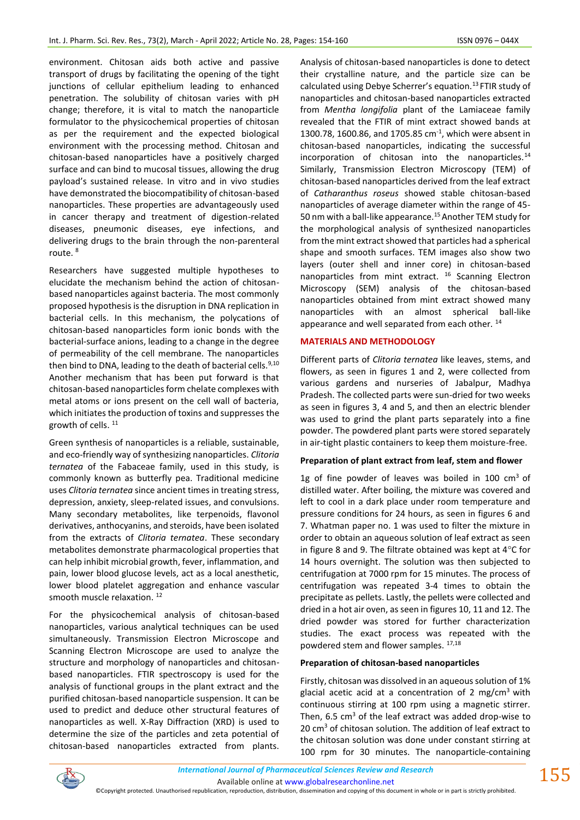environment. Chitosan aids both active and passive transport of drugs by facilitating the opening of the tight junctions of cellular epithelium leading to enhanced penetration. The solubility of chitosan varies with pH change; therefore, it is vital to match the nanoparticle formulator to the physicochemical properties of chitosan as per the requirement and the expected biological environment with the processing method. Chitosan and chitosan-based nanoparticles have a positively charged surface and can bind to mucosal tissues, allowing the drug payload's sustained release. In vitro and in vivo studies have demonstrated the biocompatibility of chitosan-based nanoparticles. These properties are advantageously used in cancer therapy and treatment of digestion-related diseases, pneumonic diseases, eye infections, and delivering drugs to the brain through the non-parenteral route. <sup>8</sup>

Researchers have suggested multiple hypotheses to elucidate the mechanism behind the action of chitosanbased nanoparticles against bacteria. The most commonly proposed hypothesis is the disruption in DNA replication in bacterial cells. In this mechanism, the polycations of chitosan-based nanoparticles form ionic bonds with the bacterial-surface anions, leading to a change in the degree of permeability of the cell membrane. The nanoparticles then bind to DNA, leading to the death of bacterial cells.<sup>9,10</sup> Another mechanism that has been put forward is that chitosan-based nanoparticles form chelate complexes with metal atoms or ions present on the cell wall of bacteria, which initiates the production of toxins and suppresses the growth of cells. <sup>11</sup>

Green synthesis of nanoparticles is a reliable, sustainable, and eco-friendly way of synthesizing nanoparticles. *Clitoria ternatea* of the Fabaceae family, used in this study, is commonly known as butterfly pea. Traditional medicine uses *Clitoria ternatea* since ancient times in treating stress, depression, anxiety, sleep-related issues, and convulsions. Many secondary metabolites, like terpenoids, flavonol derivatives, anthocyanins, and steroids, have been isolated from the extracts of *Clitoria ternatea*. These secondary metabolites demonstrate pharmacological properties that can help inhibit microbial growth, fever, inflammation, and pain, lower blood glucose levels, act as a local anesthetic, lower blood platelet aggregation and enhance vascular smooth muscle relaxation.<sup>12</sup>

For the physicochemical analysis of chitosan-based nanoparticles, various analytical techniques can be used simultaneously. Transmission Electron Microscope and Scanning Electron Microscope are used to analyze the structure and morphology of nanoparticles and chitosanbased nanoparticles. FTIR spectroscopy is used for the analysis of functional groups in the plant extract and the purified chitosan-based nanoparticle suspension. It can be used to predict and deduce other structural features of nanoparticles as well. X-Ray Diffraction (XRD) is used to determine the size of the particles and zeta potential of chitosan-based nanoparticles extracted from plants. Analysis of chitosan-based nanoparticles is done to detect their crystalline nature, and the particle size can be calculated using Debye Scherrer's equation.<sup>13</sup> FTIR study of nanoparticles and chitosan-based nanoparticles extracted from *Mentha longifolia* plant of the Lamiaceae family revealed that the FTIR of mint extract showed bands at 1300.78, 1600.86, and 1705.85  $cm^{-1}$ , which were absent in chitosan-based nanoparticles, indicating the successful incorporation of chitosan into the nanoparticles. $^{14}$ Similarly, Transmission Electron Microscopy (TEM) of chitosan-based nanoparticles derived from the leaf extract of *Catharanthus roseus* showed stable chitosan-based nanoparticles of average diameter within the range of 45- 50 nm with a ball-like appearance.<sup>15</sup> Another TEM study for the morphological analysis of synthesized nanoparticles from the mint extract showed that particles had a spherical shape and smooth surfaces. TEM images also show two layers (outer shell and inner core) in chitosan-based nanoparticles from mint extract. <sup>16</sup> Scanning Electron Microscopy (SEM) analysis of the chitosan-based nanoparticles obtained from mint extract showed many nanoparticles with an almost spherical ball-like appearance and well separated from each other.<sup>14</sup>

### **MATERIALS AND METHODOLOGY**

Different parts of *Clitoria ternatea* like leaves, stems, and flowers, as seen in figures 1 and 2, were collected from various gardens and nurseries of Jabalpur, Madhya Pradesh. The collected parts were sun-dried for two weeks as seen in figures 3, 4 and 5, and then an electric blender was used to grind the plant parts separately into a fine powder. The powdered plant parts were stored separately in air-tight plastic containers to keep them moisture-free.

### **Preparation of plant extract from leaf, stem and flower**

1g of fine powder of leaves was boiled in 100  $cm<sup>3</sup>$  of distilled water. After boiling, the mixture was covered and left to cool in a dark place under room temperature and pressure conditions for 24 hours, as seen in figures 6 and 7. Whatman paper no. 1 was used to filter the mixture in order to obtain an aqueous solution of leaf extract as seen in figure 8 and 9. The filtrate obtained was kept at  $4^{\circ}$ C for 14 hours overnight. The solution was then subjected to centrifugation at 7000 rpm for 15 minutes. The process of centrifugation was repeated 3-4 times to obtain the precipitate as pellets. Lastly, the pellets were collected and dried in a hot air oven, as seen in figures 10, 11 and 12. The dried powder was stored for further characterization studies. The exact process was repeated with the powdered stem and flower samples. 17,18

#### **Preparation of chitosan-based nanoparticles**

Firstly, chitosan was dissolved in an aqueous solution of 1% glacial acetic acid at a concentration of 2 mg/cm<sup>3</sup> with continuous stirring at 100 rpm using a magnetic stirrer. Then,  $6.5 \text{ cm}^3$  of the leaf extract was added drop-wise to 20 cm<sup>3</sup> of chitosan solution. The addition of leaf extract to the chitosan solution was done under constant stirring at 100 rpm for 30 minutes. The nanoparticle-containing

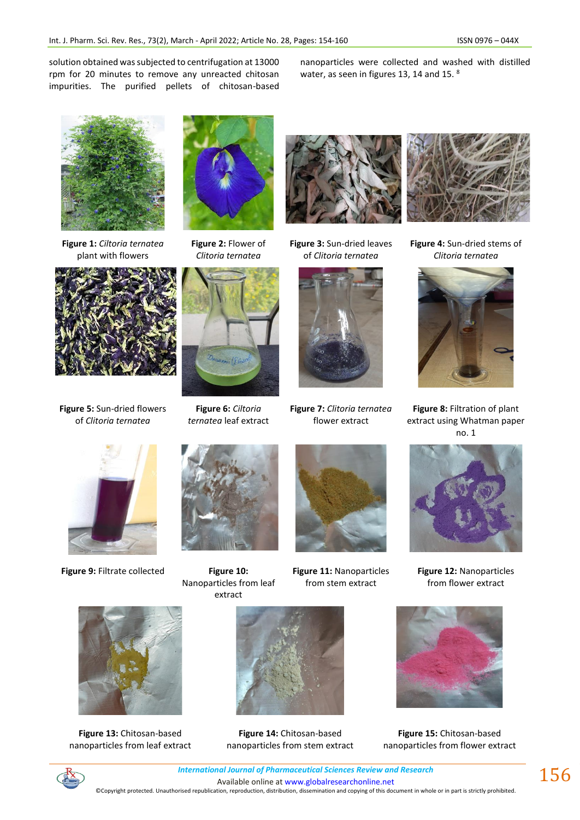solution obtained was subjected to centrifugation at 13000 rpm for 20 minutes to remove any unreacted chitosan impurities. The purified pellets of chitosan-based nanoparticles were collected and washed with distilled water, as seen in figures 13, 14 and 15. 8



**Figure 1:** *Ciltoria ternatea* plant with flowers



**Figure 5:** Sun-dried flowers of *Clitoria ternatea*



**Figure 2:** Flower of *Clitoria ternatea*



**Figure 6:** *Ciltoria ternatea* leaf extract



**Figure 3:** Sun-dried leaves of *Clitoria ternatea*



**Figure 7:** *Clitoria ternatea*  flower extract



**Figure 4:** Sun-dried stems of *Clitoria ternatea*



**Figure 8:** Filtration of plant extract using Whatman paper no. 1



**Figure 9:** Filtrate collected **Figure 10:** 



Nanoparticles from leaf extract



**Figure 11:** Nanoparticles from stem extract



**Figure 12:** Nanoparticles from flower extract



**Figure 13:** Chitosan-based nanoparticles from leaf extract



**Figure 14:** Chitosan-based nanoparticles from stem extract



**Figure 15:** Chitosan-based nanoparticles from flower extract



*International Journal of Pharmaceutical Sciences Review and Research International Journal of Pharmaceutical Sciences Review and Research* Available online a[t www.globalresearchonline.net](http://www.globalresearchonline.net/) ©Copyright protected. Unauthorised republication, reproduction, distribution, dissemination and copying of this document in whole or in part is strictly prohibited.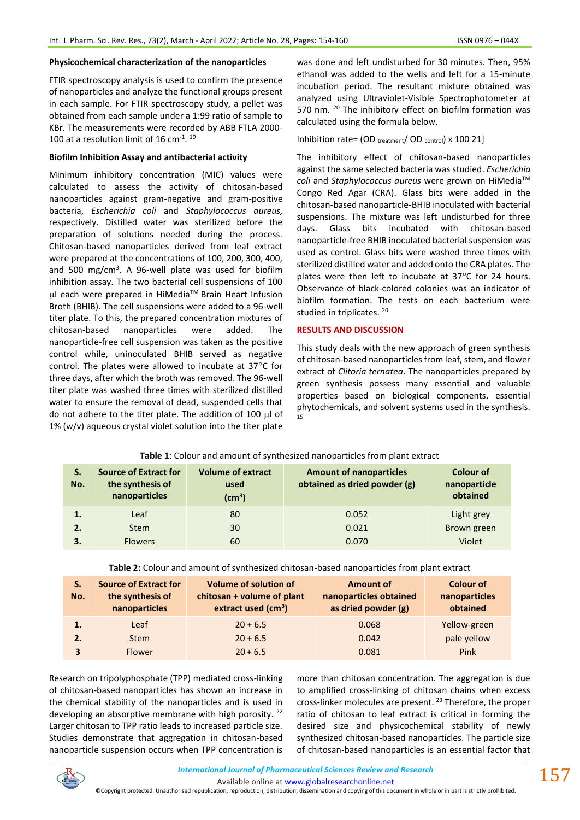#### **Physicochemical characterization of the nanoparticles**

FTIR spectroscopy analysis is used to confirm the presence of nanoparticles and analyze the functional groups present in each sample. For FTIR spectroscopy study, a pellet was obtained from each sample under a 1:99 ratio of sample to KBr. The measurements were recorded by ABB FTLA 2000- 100 at a resolution limit of 16  $cm<sup>-1</sup>$ . <sup>19</sup>

#### **Biofilm Inhibition Assay and antibacterial activity**

Minimum inhibitory concentration (MIC) values were calculated to assess the activity of chitosan-based nanoparticles against gram-negative and gram-positive bacteria, *Escherichia coli* and *Staphylococcus aureus,* respectively. Distilled water was sterilized before the preparation of solutions needed during the process. Chitosan-based nanoparticles derived from leaf extract were prepared at the concentrations of 100, 200, 300, 400, and 500 mg/cm<sup>3</sup>. A 96-well plate was used for biofilm inhibition assay. The two bacterial cell suspensions of 100 µl each were prepared in HiMedia™ Brain Heart Infusion Broth (BHIB). The cell suspensions were added to a 96-well titer plate. To this, the prepared concentration mixtures of chitosan-based nanoparticles were added. The nanoparticle-free cell suspension was taken as the positive control while, uninoculated BHIB served as negative control. The plates were allowed to incubate at  $37^{\circ}$ C for three days, after which the broth was removed. The 96-well titer plate was washed three times with sterilized distilled water to ensure the removal of dead, suspended cells that do not adhere to the titer plate. The addition of 100  $\mu$ l of 1% (w/v) aqueous crystal violet solution into the titer plate

was done and left undisturbed for 30 minutes. Then, 95% ethanol was added to the wells and left for a 15-minute incubation period. The resultant mixture obtained was analyzed using Ultraviolet-Visible Spectrophotometer at 570 nm. <sup>20</sup> The inhibitory effect on biofilm formation was calculated using the formula below.

Inhibition rate= (OD treatment/ OD control) x 100 21]

The inhibitory effect of chitosan-based nanoparticles against the same selected bacteria was studied. *Escherichia coli* and *Staphylococcus aureus* were grown on HiMedia™ Congo Red Agar (CRA). Glass bits were added in the chitosan-based nanoparticle-BHIB inoculated with bacterial suspensions. The mixture was left undisturbed for three days. Glass bits incubated with chitosan-based nanoparticle-free BHIB inoculated bacterial suspension was used as control. Glass bits were washed three times with sterilized distilled water and added onto the CRA plates. The plates were then left to incubate at  $37^{\circ}$ C for 24 hours. Observance of black-colored colonies was an indicator of biofilm formation. The tests on each bacterium were studied in triplicates. <sup>20</sup>

#### **RESULTS AND DISCUSSION**

This study deals with the new approach of green synthesis of chitosan-based nanoparticles from leaf, stem, and flower extract of *Clitoria ternatea*. The nanoparticles prepared by green synthesis possess many essential and valuable properties based on biological components, essential phytochemicals, and solvent systems used in the synthesis. 15

| S.<br>No. | <b>Source of Extract for</b><br>the synthesis of<br>nanoparticles | <b>Volume of extract</b><br>used<br>(cm <sup>3</sup> ) | <b>Amount of nanoparticles</b><br>obtained as dried powder (g) | Colour of<br>nanoparticle<br>obtained |
|-----------|-------------------------------------------------------------------|--------------------------------------------------------|----------------------------------------------------------------|---------------------------------------|
| 1.        | Leaf                                                              | 80                                                     | 0.052                                                          | Light grey                            |
| 2.        | <b>Stem</b>                                                       | 30                                                     | 0.021                                                          | Brown green                           |
| 3.        | <b>Flowers</b>                                                    | 60                                                     | 0.070                                                          | Violet                                |

**Table 1**: Colour and amount of synthesized nanoparticles from plant extract

**Table 2:** Colour and amount of synthesized chitosan-based nanoparticles from plant extract

| S.<br>No. | <b>Source of Extract for</b><br>the synthesis of<br>nanoparticles | <b>Volume of solution of</b><br>chitosan + volume of plant<br>extract used $(cm3)$ | <b>Amount of</b><br>nanoparticles obtained<br>as dried powder (g) | <b>Colour of</b><br>nanoparticles<br>obtained |
|-----------|-------------------------------------------------------------------|------------------------------------------------------------------------------------|-------------------------------------------------------------------|-----------------------------------------------|
|           | Leaf                                                              | $20 + 6.5$                                                                         | 0.068                                                             | Yellow-green                                  |
| 2.        | <b>Stem</b>                                                       | $20 + 6.5$                                                                         | 0.042                                                             | pale yellow                                   |
| 3         | <b>Flower</b>                                                     | $20 + 6.5$                                                                         | 0.081                                                             | Pink                                          |

Research on tripolyphosphate (TPP) mediated cross-linking of chitosan-based nanoparticles has shown an increase in the chemical stability of the nanoparticles and is used in developing an absorptive membrane with high porosity.<sup>22</sup> Larger chitosan to TPP ratio leads to increased particle size. Studies demonstrate that aggregation in chitosan-based nanoparticle suspension occurs when TPP concentration is more than chitosan concentration. The aggregation is due to amplified cross-linking of chitosan chains when excess cross-linker molecules are present.<sup>23</sup> Therefore, the proper ratio of chitosan to leaf extract is critical in forming the desired size and physicochemical stability of newly synthesized chitosan-based nanoparticles. The particle size of chitosan-based nanoparticles is an essential factor that



Available online a[t www.globalresearchonline.net](http://www.globalresearchonline.net/)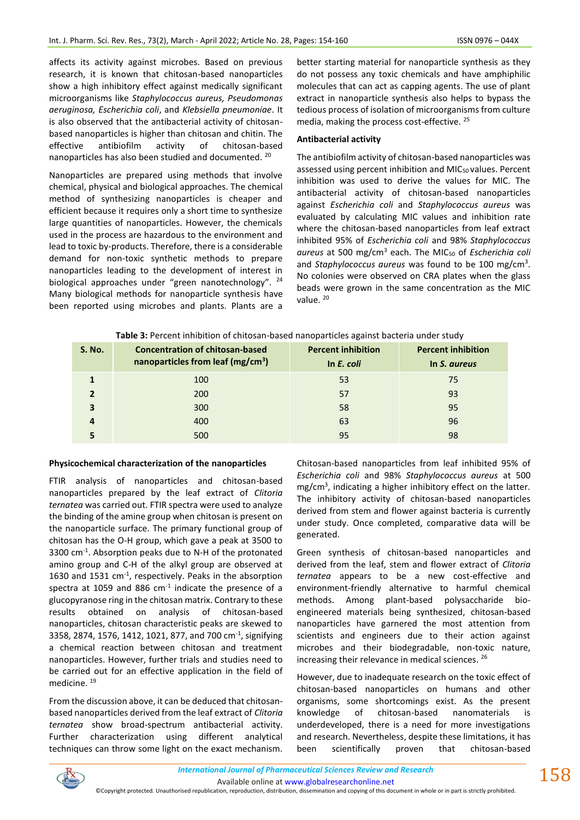affects its activity against microbes. Based on previous research, it is known that chitosan-based nanoparticles show a high inhibitory effect against medically significant microorganisms like *Staphylococcus aureus, Pseudomonas aeruginosa, Escherichia coli*, and *Klebsiella pneumoniae*. It is also observed that the antibacterial activity of chitosanbased nanoparticles is higher than chitosan and chitin. The effective antibiofilm activity of chitosan-based nanoparticles has also been studied and documented. <sup>20</sup>

Nanoparticles are prepared using methods that involve chemical, physical and biological approaches. The chemical method of synthesizing nanoparticles is cheaper and efficient because it requires only a short time to synthesize large quantities of nanoparticles. However, the chemicals used in the process are hazardous to the environment and lead to toxic by-products. Therefore, there is a considerable demand for non-toxic synthetic methods to prepare nanoparticles leading to the development of interest in biological approaches under "green nanotechnology". <sup>24</sup> Many biological methods for nanoparticle synthesis have been reported using microbes and plants. Plants are a better starting material for nanoparticle synthesis as they do not possess any toxic chemicals and have amphiphilic molecules that can act as capping agents. The use of plant extract in nanoparticle synthesis also helps to bypass the tedious process of isolation of microorganisms from culture media, making the process cost-effective. <sup>25</sup>

#### **Antibacterial activity**

95

The antibiofilm activity of chitosan-based nanoparticles was assessed using percent inhibition and MIC<sub>50</sub> values. Percent inhibition was used to derive the values for MIC. The antibacterial activity of chitosan-based nanoparticles against *Escherichia coli* and *Staphylococcus aureus* was evaluated by calculating MIC values and inhibition rate where the chitosan-based nanoparticles from leaf extract inhibited 95% of *Escherichia coli* and 98% *Staphylococcus aureus* at 500 mg/cm<sup>3</sup> each. The MIC<sup>50</sup> of *Escherichia coli* and *Staphylococcus aureus* was found to be 100 mg/cm<sup>3</sup> . No colonies were observed on CRA plates when the glass beads were grown in the same concentration as the MIC value.<sup>20</sup>

| <u>, water at the communities of antecedit was called the close adamse was communities and all</u> |                                                                                         |                                         |                                           |  |  |  |
|----------------------------------------------------------------------------------------------------|-----------------------------------------------------------------------------------------|-----------------------------------------|-------------------------------------------|--|--|--|
| <b>S. No.</b>                                                                                      | <b>Concentration of chitosan-based</b><br>nanoparticles from leaf (mg/cm <sup>3</sup> ) | <b>Percent inhibition</b><br>In E. coli | <b>Percent inhibition</b><br>In S. aureus |  |  |  |
|                                                                                                    | 100                                                                                     | 53                                      | 75                                        |  |  |  |
|                                                                                                    | 200                                                                                     | 57                                      | 93                                        |  |  |  |
|                                                                                                    | 300                                                                                     | 58                                      | 95                                        |  |  |  |
|                                                                                                    | 400                                                                                     | 63                                      | 96                                        |  |  |  |

**Table 3:** Percent inhibition of chitosan-based nanoparticles against bacteria under study

#### **Physicochemical characterization of the nanoparticles**

500

**5**

FTIR analysis of nanoparticles and chitosan-based nanoparticles prepared by the leaf extract of *Clitoria ternatea* was carried out. FTIR spectra were used to analyze the binding of the amine group when chitosan is present on the nanoparticle surface. The primary functional group of chitosan has the O-H group, which gave a peak at 3500 to 3300 cm-1 . Absorption peaks due to N-H of the protonated amino group and C-H of the alkyl group are observed at 1630 and 1531 cm-1 , respectively. Peaks in the absorption spectra at 1059 and 886  $cm<sup>-1</sup>$  indicate the presence of a glucopyranose ring in the chitosan matrix. Contrary to these results obtained on analysis of chitosan-based nanoparticles, chitosan characteristic peaks are skewed to 3358, 2874, 1576, 1412, 1021, 877, and 700 cm<sup>-1</sup>, signifying a chemical reaction between chitosan and treatment nanoparticles. However, further trials and studies need to be carried out for an effective application in the field of medicine.<sup>19</sup>

From the discussion above, it can be deduced that chitosanbased nanoparticles derived from the leaf extract of *Clitoria ternatea* show broad-spectrum antibacterial activity. Further characterization using different analytical techniques can throw some light on the exact mechanism. Chitosan-based nanoparticles from leaf inhibited 95% of *Escherichia coli* and 98% *Staphylococcus aureus* at 500 mg/cm<sup>3</sup>, indicating a higher inhibitory effect on the latter. The inhibitory activity of chitosan-based nanoparticles derived from stem and flower against bacteria is currently under study. Once completed, comparative data will be generated.

98

Green synthesis of chitosan-based nanoparticles and derived from the leaf, stem and flower extract of *Clitoria ternatea* appears to be a new cost-effective and environment-friendly alternative to harmful chemical methods. Among plant-based polysaccharide bioengineered materials being synthesized, chitosan-based nanoparticles have garnered the most attention from scientists and engineers due to their action against microbes and their biodegradable, non-toxic nature, increasing their relevance in medical sciences. <sup>26</sup>

However, due to inadequate research on the toxic effect of chitosan-based nanoparticles on humans and other organisms, some shortcomings exist. As the present knowledge of chitosan-based nanomaterials underdeveloped, there is a need for more investigations and research. Nevertheless, despite these limitations, it has been scientifically proven that chitosan-based

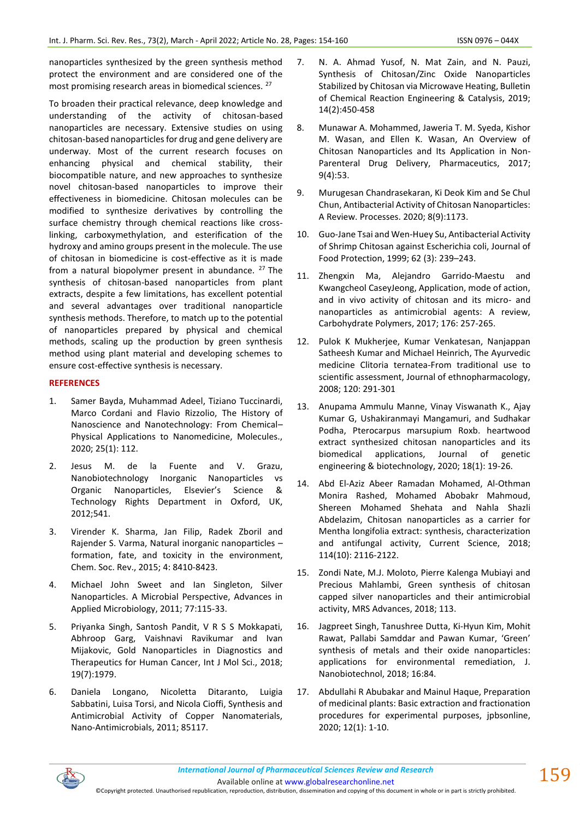nanoparticles synthesized by the green synthesis method protect the environment and are considered one of the most promising research areas in biomedical sciences. <sup>27</sup>

To broaden their practical relevance, deep knowledge and understanding of the activity of chitosan-based nanoparticles are necessary. Extensive studies on using chitosan-based nanoparticles for drug and gene delivery are underway. Most of the current research focuses on enhancing physical and chemical stability, their biocompatible nature, and new approaches to synthesize novel chitosan-based nanoparticles to improve their effectiveness in biomedicine. Chitosan molecules can be modified to synthesize derivatives by controlling the surface chemistry through chemical reactions like crosslinking, carboxymethylation, and esterification of the hydroxy and amino groups present in the molecule. The use of chitosan in biomedicine is cost-effective as it is made from a natural biopolymer present in abundance.  $27$  The synthesis of chitosan-based nanoparticles from plant extracts, despite a few limitations, has excellent potential and several advantages over traditional nanoparticle synthesis methods. Therefore, to match up to the potential of nanoparticles prepared by physical and chemical methods, scaling up the production by green synthesis method using plant material and developing schemes to ensure cost-effective synthesis is necessary.

## **REFERENCES**

- 1. Samer Bayda, Muhammad Adeel, Tiziano Tuccinardi, Marco Cordani and Flavio Rizzolio, The History of Nanoscience and Nanotechnology: From Chemical– Physical Applications to Nanomedicine, Molecules., 2020; 25(1): 112.
- 2. Jesus M. de la Fuente and V. Grazu, Nanobiotechnology Inorganic Nanoparticles vs Organic Nanoparticles, Elsevier's Science & Technology Rights Department in Oxford, UK, 2012;541.
- 3. Virender K. Sharma, Jan Filip, Radek Zboril and Rajender S. Varma, Natural inorganic nanoparticles – formation, fate, and toxicity in the environment, Chem. Soc. Rev., 2015; 4: 8410-8423.
- 4. Michael John Sweet and Ian Singleton, Silver Nanoparticles. A Microbial Perspective, Advances in Applied Microbiology, 2011; 77:115-33.
- 5. Priyanka Singh, Santosh Pandit, V R S S Mokkapati, Abhroop Garg, Vaishnavi Ravikumar and Ivan Mijakovic, Gold Nanoparticles in Diagnostics and Therapeutics for Human Cancer, Int J Mol Sci., 2018; 19(7):1979.
- 6. Daniela Longano, Nicoletta Ditaranto, Luigia Sabbatini, Luisa Torsi, and Nicola Cioffi, Synthesis and Antimicrobial Activity of Copper Nanomaterials, Nano-Antimicrobials, 2011; 85117.
- 7. N. A. Ahmad Yusof, N. Mat Zain, and N. Pauzi, Synthesis of Chitosan/Zinc Oxide Nanoparticles Stabilized by Chitosan via Microwave Heating, Bulletin of Chemical Reaction Engineering & Catalysis, 2019; 14(2):450-458
- 8. Munawar A. Mohammed, Jaweria T. M. Syeda, Kishor M. Wasan, and Ellen K. Wasan, An Overview of Chitosan Nanoparticles and Its Application in Non-Parenteral Drug Delivery, Pharmaceutics, 2017; 9(4):53.
- 9. Murugesan Chandrasekaran, Ki Deok Kim and Se Chul Chun, Antibacterial Activity of Chitosan Nanoparticles: A Review. Processes. 2020; 8(9):1173.
- 10. Guo-Jane Tsai and Wen-Huey Su, Antibacterial Activity of Shrimp Chitosan against Escherichia coli, Journal of Food Protection, 1999; 62 (3): 239–243.
- 11. Zhengxin Ma, Alejandro Garrido-Maestu and Kwangcheol CaseyJeong, Application, mode of action, and in vivo activity of chitosan and its micro- and nanoparticles as antimicrobial agents: A review, Carbohydrate Polymers, 2017; 176: 257-265.
- 12. Pulok K Mukherjee, Kumar Venkatesan, Nanjappan Satheesh Kumar and Michael Heinrich, The Ayurvedic medicine Clitoria ternatea-From traditional use to scientific assessment, Journal of ethnopharmacology, 2008; 120: 291-301
- 13. Anupama Ammulu Manne, Vinay Viswanath K., Ajay Kumar G, Ushakiranmayi Mangamuri, and Sudhakar Podha, Pterocarpus marsupium Roxb. heartwood extract synthesized chitosan nanoparticles and its biomedical applications, Journal of genetic engineering & biotechnology, 2020; 18(1): 19-26.
- 14. Abd El-Aziz Abeer Ramadan Mohamed, Al-Othman Monira Rashed, Mohamed Abobakr Mahmoud, Shereen Mohamed Shehata and Nahla Shazli Abdelazim, Chitosan nanoparticles as a carrier for Mentha longifolia extract: synthesis, characterization and antifungal activity, Current Science, 2018; 114(10): 2116-2122.
- 15. Zondi Nate, M.J. Moloto, Pierre Kalenga Mubiayi and Precious Mahlambi, Green synthesis of chitosan capped silver nanoparticles and their antimicrobial activity, MRS Advances, 2018; 113.
- 16. Jagpreet Singh, Tanushree Dutta, Ki-Hyun Kim, Mohit Rawat, Pallabi Samddar and Pawan Kumar, 'Green' synthesis of metals and their oxide nanoparticles: applications for environmental remediation, J. Nanobiotechnol, 2018; 16:84.
- 17. Abdullahi R Abubakar and Mainul Haque, Preparation of medicinal plants: Basic extraction and fractionation procedures for experimental purposes, jpbsonline, 2020; 12(1): 1-10.



Available online a[t www.globalresearchonline.net](http://www.globalresearchonline.net/)